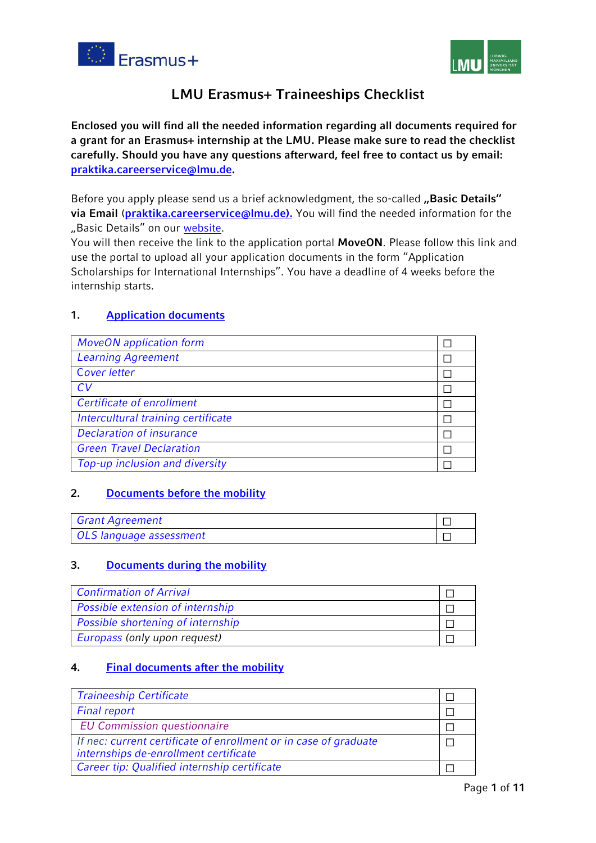



# **LMU Erasmus+ Traineeships Checklist**

**Enclosed you will find all the needed information regarding all documents required for a grant for an Erasmus+ internship at the LMU. Please make sure to read the checklist carefully. Should you have any questions afterward, feel free to contact us by email: praktika.[careerservic](mailto:praktika.s-a@lmu.de)e@lmu.de.** 

Before you apply please send us a brief acknowledgment, the so-called "Basic Details" **via Email** (**praktika.[careerservice](mailto:praktika.s-a@lmu.de)@lmu.de).** You will find the needed information for the "Basic Details" on ou[r website.](https://www.lmu.de/en/workspace-for-students/gain-experience-abroad/internships-abroad/index.html)

You will then receive the link to the application portal **MoveON**. Please follow this link and use the portal to upload all your application documents in the form "Application Scholarships for International Internships". You have a deadline of 4 weeks before the internship starts.

# **1. [Application documents](#page-1-0)**

| <b>MoveON</b> application form     |  |
|------------------------------------|--|
| <b>Learning Agreement</b>          |  |
| Cover letter                       |  |
| CV                                 |  |
| Certificate of enrollment          |  |
| Intercultural training certificate |  |
| <b>Declaration of insurance</b>    |  |
| <b>Green Travel Declaration</b>    |  |
| Top-up inclusion and diversity     |  |

# **2. [Documents before the mobility](#page-6-1)**

| <b>Grant Agreement</b>  |  |
|-------------------------|--|
| OLS language assessment |  |

# **3. [Documents during the mobility](#page-8-0)**

| <b>Confirmation of Arrival</b>    |  |
|-----------------------------------|--|
| Possible extension of internship  |  |
| Possible shortening of internship |  |
| Europass (only upon request)      |  |

# **4. [Final documents after the mobility](#page-9-1)**

| <b>Traineeship Certificate</b>                                                                            |  |
|-----------------------------------------------------------------------------------------------------------|--|
| <b>Final report</b>                                                                                       |  |
| <b>EU Commission questionnaire</b>                                                                        |  |
| If nec: current certificate of enrollment or in case of graduate<br>internships de-enrollment certificate |  |
| Career tip: Qualified internship certificate                                                              |  |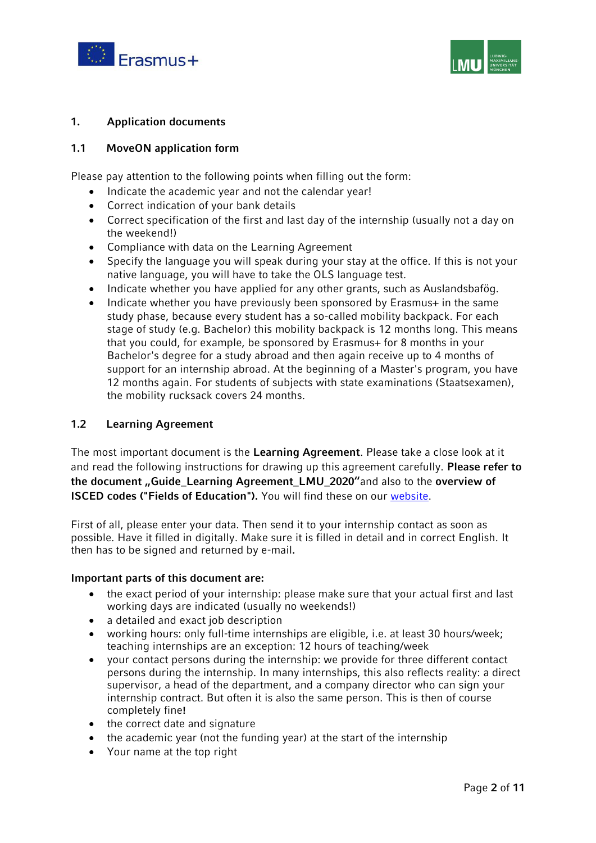



# <span id="page-1-0"></span>**1. Application documents**

# <span id="page-1-1"></span>**1.1 MoveON application form**

Please pay attention to the following points when filling out the form:

- Indicate the academic year and not the calendar year!
- Correct indication of your bank details
- Correct specification of the first and last day of the internship (usually not a day on the weekend!)
- Compliance with data on the Learning Agreement
- Specify the language you will speak during your stay at the office. If this is not your native language, you will have to take the OLS language test.
- Indicate whether you have applied for any other grants, such as Auslandsbafög.
- Indicate whether you have previously been sponsored by Erasmus+ in the same study phase, because every student has a so-called mobility backpack. For each stage of study (e.g. Bachelor) this mobility backpack is 12 months long. This means that you could, for example, be sponsored by Erasmus+ for 8 months in your Bachelor's degree for a study abroad and then again receive up to 4 months of support for an internship abroad. At the beginning of a Master's program, you have 12 months again. For students of subjects with state examinations (Staatsexamen), the mobility rucksack covers 24 months.

# <span id="page-1-2"></span>**1.2 Learning Agreement**

The most important document is the **Learning Agreement**. Please take a close look at it and read the following instructions for drawing up this agreement carefully. **Please refer to**  the document "Guide\_Learning Agreement\_LMU\_2020"and also to the overview of **ISCED codes ("Fields of Education").** You will find these on our **website**.

First of all, please enter your data. Then send it to your internship contact as soon as possible. Have it filled in digitally. Make sure it is filled in detail and in correct English. It then has to be signed and returned by e-mail**.**

# **Important parts of this document are:**

- the exact period of your internship: please make sure that your actual first and last working days are indicated (usually no weekends!)
- a detailed and exact job description
- working hours: only full-time internships are eligible, i.e. at least 30 hours/week; teaching internships are an exception: 12 hours of teaching/week
- your contact persons during the internship: we provide for three different contact persons during the internship. In many internships, this also reflects reality: a direct supervisor, a head of the department, and a company director who can sign your internship contract. But often it is also the same person. This is then of course completely fine**!**
- the correct date and signature
- the academic year (not the funding year) at the start of the internship
- Your name at the top right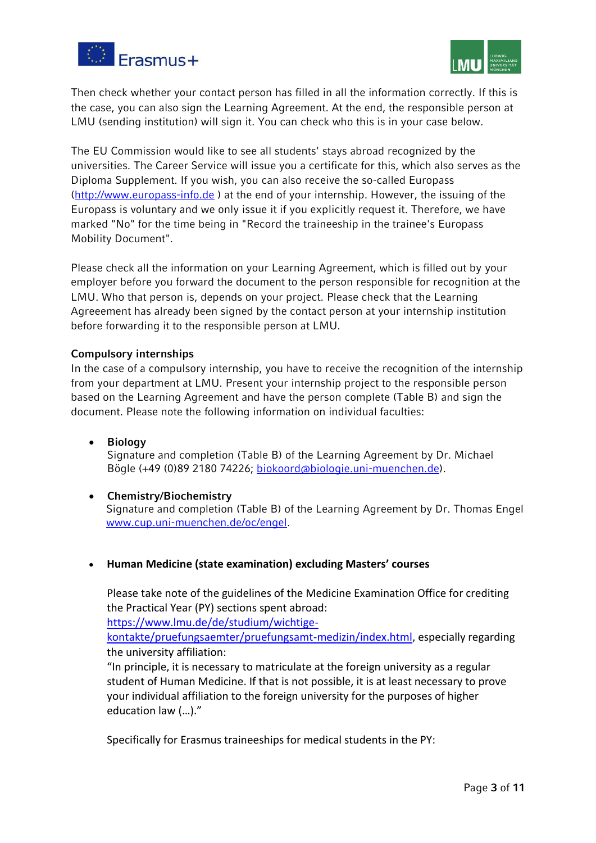



Then check whether your contact person has filled in all the information correctly. If this is the case, you can also sign the Learning Agreement. At the end, the responsible person at LMU (sending institution) will sign it. You can check who this is in your case below.

The EU Commission would like to see all students' stays abroad recognized by the universities. The Career Service will issue you a certificate for this, which also serves as the Diploma Supplement. If you wish, you can also receive the so-called Europass [\(http://www.europass-info.de](http://www.europass-info.de/)) at the end of your internship. However, the issuing of the Europass is voluntary and we only issue it if you explicitly request it. Therefore, we have marked "No" for the time being in "Record the traineeship in the trainee's Europass Mobility Document".

Please check all the information on your Learning Agreement, which is filled out by your employer before you forward the document to the person responsible for recognition at the LMU. Who that person is, depends on your project. Please check that the Learning Agreeement has already been signed by the contact person at your internship institution before forwarding it to the responsible person at LMU.

#### **Compulsory internships**

In the case of a compulsory internship, you have to receive the recognition of the internship from your department at LMU. Present your internship project to the responsible person based on the Learning Agreement and have the person complete (Table B) and sign the document. Please note the following information on individual faculties:

- **Biology** Signature and completion (Table B) of the Learning Agreement by Dr. Michael Bögle (+49 (0)89 2180 74226; [biokoord@biologie.uni-muenchen.de\)](mailto:biokoord@biologie.uni-muenchen.de).
- **Chemistry/Biochemistry**

Signature and completion (Table B) of the Learning Agreement by Dr. Thomas Engel [www.cup.uni-muenchen.de/oc/engel.](http://www.cup.uni-muenchen.de/oc/engel)

• **Human Medicine (state examination) excluding Masters' courses**

Please take note of the guidelines of the Medicine Examination Office for crediting the Practical Year (PY) sections spent abroad:

[https://www.lmu.de/de/studium/wichtige-](https://www.lmu.de/de/studium/wichtige-kontakte/pruefungsaemter/pruefungsamt-medizin/index.html)

[kontakte/pruefungsaemter/pruefungsamt-medizin/index.html,](https://www.lmu.de/de/studium/wichtige-kontakte/pruefungsaemter/pruefungsamt-medizin/index.html) especially regarding the university affiliation:

"In principle, it is necessary to matriculate at the foreign university as a regular student of Human Medicine. If that is not possible, it is at least necessary to prove your individual affiliation to the foreign university for the purposes of higher education law (…)."

Specifically for Erasmus traineeships for medical students in the PY: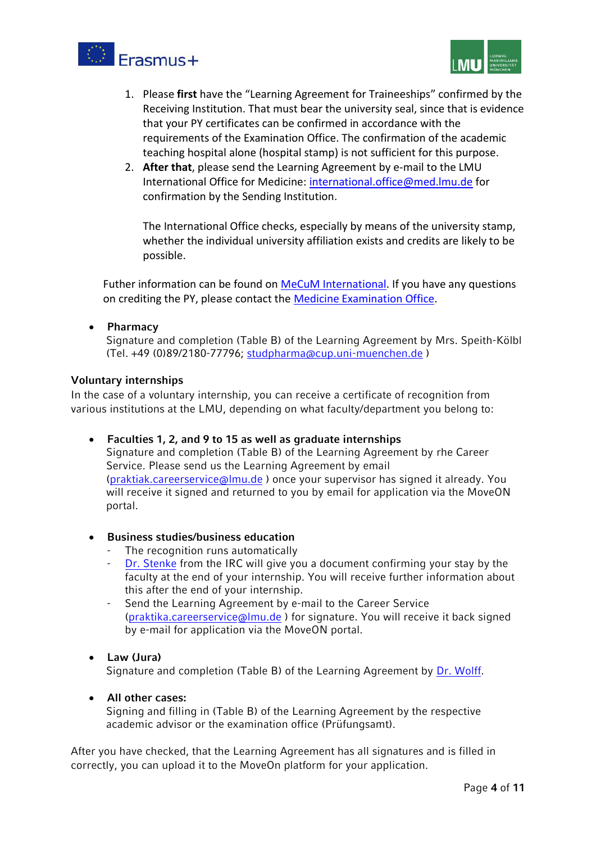



- 1. Please **first** have the "Learning Agreement for Traineeships" confirmed by the Receiving Institution. That must bear the university seal, since that is evidence that your PY certificates can be confirmed in accordance with the requirements of the Examination Office. The confirmation of the academic teaching hospital alone (hospital stamp) is not sufficient for this purpose.
- 2. **After that**, please send the Learning Agreement by e-mail to the LMU International Office for Medicine: [international.office@med.lmu.de](mailto:international.office@med.lmu.de) for confirmation by the Sending Institution.

The International Office checks, especially by means of the university stamp, whether the individual university affiliation exists and credits are likely to be possible.

Futher information can be found on **MeCuM International**. If you have any questions on crediting the PY, please contact the [Medicine Examination Office.](https://www.lmu.de/de/studium/wichtige-kontakte/pruefungsaemter/pruefungsamt-medizin/index.html)

# • **Pharmacy**

Signature and completion (Table B) of the Learning Agreement by Mrs. Speith-Kölbl (Tel. +49 (0)89/2180-77796; [studpharma@cup.uni-muenchen.de](mailto:studpharma@cup.uni-muenchen.de) )

# **Voluntary internships**

In the case of a voluntary internship, you can receive a certificate of recognition from various institutions at the LMU, depending on what faculty/department you belong to:

• **Faculties 1, 2, and 9 to 15 as well as graduate internships**

Signature and completion (Table B) of the Learning Agreement by rhe Career Service. Please send us the Learning Agreement by email (praktiak.[careerservice](mailto:praktiak.s-a@lmu.de)@lmu.de ) once your supervisor has signed it already. You will receive it signed and returned to you by email for application via the MoveON portal.

# • **Business studies/business education**

- The recognition runs automatically
- [Dr. Stenke](https://www.irc.bwl.uni-muenchen.de/personen/mitarbeiter/stenke_karin/index.html) from the IRC will give you a document confirming your stay by the faculty at the end of your internship. You will receive further information about this after the end of your internship.
- Send the Learning Agreement by e-mail to the Career Service [\(praktika.](mailto:praktika.s-a@lmu.de)careerservice@lmu.de ) for signature. You will receive it back signed by e-mail for application via the MoveON portal.

# • **Law (Jura)**

Signature and completion (Table B) of the Learning Agreement by [Dr. Wolff.](https://www.jura.uni-muenchen.de/studium/studienberatung/beratung_hauptfach/studberatung_examen/index.html)

# • **All other cases:**

Signing and filling in (Table B) of the Learning Agreement by the respective academic advisor or the examination office (Prüfungsamt).

After you have checked, that the Learning Agreement has all signatures and is filled in correctly, you can upload it to the MoveOn platform for your application.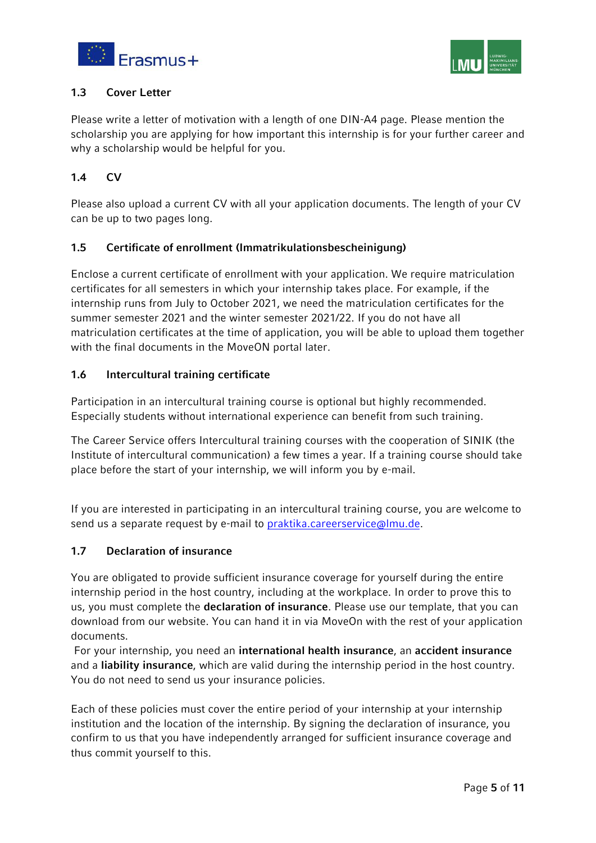



# <span id="page-4-0"></span>**1.3 Cover Letter**

Please write a letter of motivation with a length of one DIN-A4 page. Please mention the scholarship you are applying for how important this internship is for your further career and why a scholarship would be helpful for you.

# <span id="page-4-1"></span>**1.4 CV**

Please also upload a current CV with all your application documents. The length of your CV can be up to two pages long.

# <span id="page-4-2"></span>**1.5 Certificate of enrollment (Immatrikulationsbescheinigung)**

Enclose a current certificate of enrollment with your application. We require matriculation certificates for all semesters in which your internship takes place. For example, if the internship runs from July to October 2021, we need the matriculation certificates for the summer semester 2021 and the winter semester 2021/22. If you do not have all matriculation certificates at the time of application, you will be able to upload them together with the final documents in the MoveON portal later.

# <span id="page-4-3"></span>**1.6 Intercultural training certificate**

Participation in an intercultural training course is optional but highly recommended. Especially students without international experience can benefit from such training.

The Career Service offers Intercultural training courses with the cooperation of SINIK (the Institute of intercultural communication) a few times a year. If a training course should take place before the start of your internship, we will inform you by e-mail.

If you are interested in participating in an intercultural training course, you are welcome to send us a separate request by e-mail to praktika.[careerservice](mailto:praktika.s-a@lmu.de)@lmu.de.

# <span id="page-4-4"></span>**1.7 Declaration of insurance**

You are obligated to provide sufficient insurance coverage for yourself during the entire internship period in the host country, including at the workplace. In order to prove this to us, you must complete the **declaration of insurance**. Please use our template, that you can download from our website. You can hand it in via MoveOn with the rest of your application documents.

For your internship, you need an **international health insurance**, an **accident insurance**  and a **liability insurance**, which are valid during the internship period in the host country. You do not need to send us your insurance policies.

Each of these policies must cover the entire period of your internship at your internship institution and the location of the internship. By signing the declaration of insurance, you confirm to us that you have independently arranged for sufficient insurance coverage and thus commit yourself to this.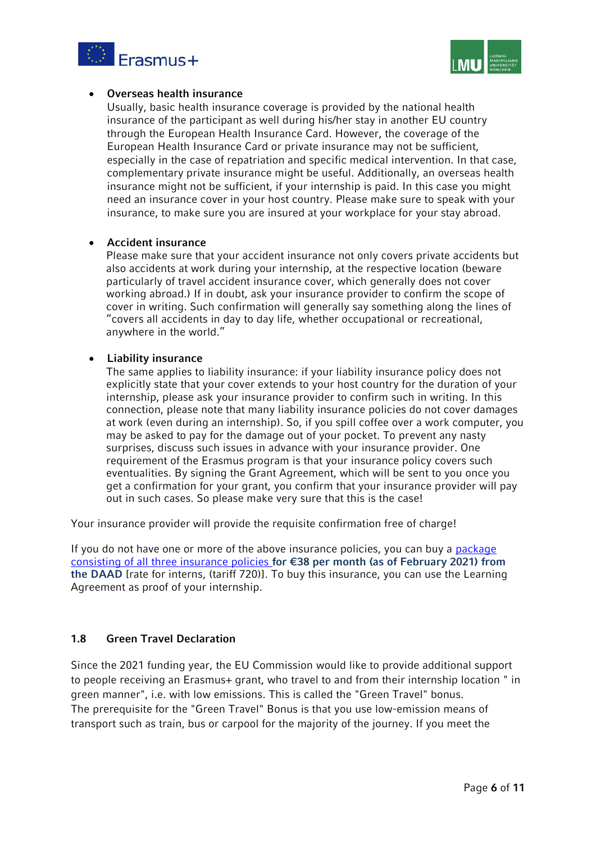



#### • **Overseas health insurance**

Usually, basic health insurance coverage is provided by the national health insurance of the participant as well during his/her stay in another EU country through the European Health Insurance Card. However, the coverage of the European Health Insurance Card or private insurance may not be sufficient, especially in the case of repatriation and specific medical intervention. In that case, complementary private insurance might be useful. Additionally, an overseas health insurance might not be sufficient, if your internship is paid. In this case you might need an insurance cover in your host country. Please make sure to speak with your insurance, to make sure you are insured at your workplace for your stay abroad.

#### • **Accident insurance**

Please make sure that your accident insurance not only covers private accidents but also accidents at work during your internship, at the respective location (beware particularly of travel accident insurance cover, which generally does not cover working abroad.) If in doubt, ask your insurance provider to confirm the scope of cover in writing. Such confirmation will generally say something along the lines of "covers all accidents in day to day life, whether occupational or recreational, anywhere in the world."

#### • **Liability insurance**

The same applies to liability insurance: if your liability insurance policy does not explicitly state that your cover extends to your host country for the duration of your internship, please ask your insurance provider to confirm such in writing. In this connection, please note that many liability insurance policies do not cover damages at work (even during an internship). So, if you spill coffee over a work computer, you may be asked to pay for the damage out of your pocket. To prevent any nasty surprises, discuss such issues in advance with your insurance provider. One requirement of the Erasmus program is that your insurance policy covers such eventualities. By signing the Grant Agreement, which will be sent to you once you get a confirmation for your grant, you confirm that your insurance provider will pay out in such cases. So please make very sure that this is the case!

Your insurance provider will provide the requisite confirmation free of charge!

If you do not have one or more of the above insurance policies, you can buy a package [consisting of all three insurance policies](https://www.daad.de/versicherung/allgemein/bedingungen/de/14380-daad-versicherung-zielland-ausland/) **for €38 per month (as of February 2021) from [the DAAD](https://www.daad.de/versicherung/allgemein/bedingungen/de/14380-daad-versicherung-zielland-ausland/)** [rate for interns, (tariff 720)]. To buy this insurance, you can use the Learning Agreement as proof of your internship.

# <span id="page-5-0"></span>**1.8 Green Travel Declaration**

Since the 2021 funding year, the EU Commission would like to provide additional support to people receiving an Erasmus+ grant, who travel to and from their internship location " in green manner", i.e. with low emissions. This is called the "Green Travel" bonus. The prerequisite for the "Green Travel" Bonus is that you use low-emission means of transport such as train, bus or carpool for the majority of the journey. If you meet the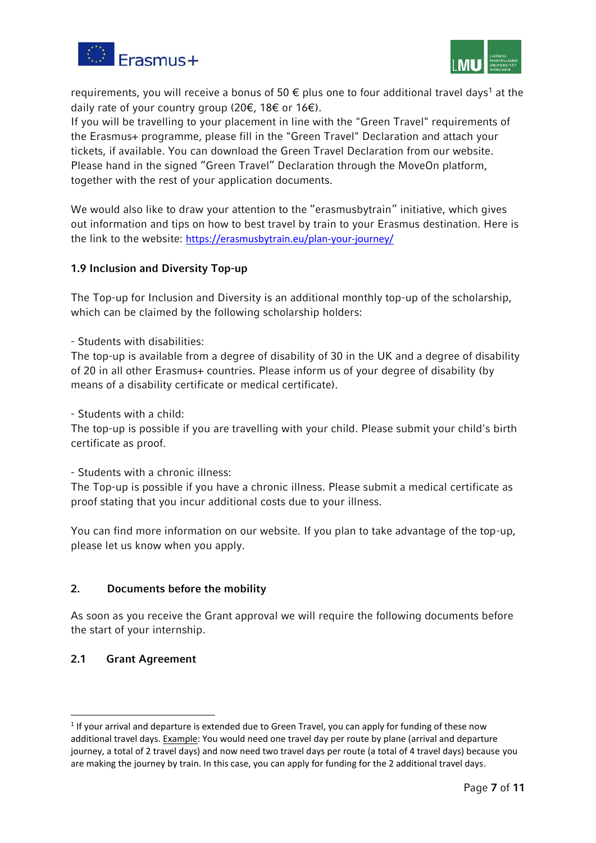



requirements, you will receive a bonus of 50  $\epsilon$  plus one to four additional travel days<sup>1</sup> at the daily rate of your country group (20€, 18€ or 16€).

If you will be travelling to your placement in line with the "Green Travel" requirements of the Erasmus+ programme, please fill in the "Green Travel" Declaration and attach your tickets, if available. You can download the Green Travel Declaration from our website. Please hand in the signed "Green Travel" Declaration through the MoveOn platform, together with the rest of your application documents.

We would also like to draw your attention to the "erasmusbytrain" initiative, which gives out information and tips on how to best travel by train to your Erasmus destination. Here is the link to the website: <https://erasmusbytrain.eu/plan-your-journey/>

# <span id="page-6-0"></span>**1.9 Inclusion and Diversity Top-up**

The Top-up for Inclusion and Diversity is an additional monthly top-up of the scholarship, which can be claimed by the following scholarship holders:

- Students with disabilities:

The top-up is available from a degree of disability of 30 in the UK and a degree of disability of 20 in all other Erasmus+ countries. Please inform us of your degree of disability (by means of a disability certificate or medical certificate).

- Students with a child:

The top-up is possible if you are travelling with your child. Please submit your child's birth certificate as proof.

- Students with a chronic illness:

The Top-up is possible if you have a chronic illness. Please submit a medical certificate as proof stating that you incur additional costs due to your illness.

You can find more information on our website. If you plan to take advantage of the top-up, please let us know when you apply.

# <span id="page-6-1"></span>**2. Documents before the mobility**

As soon as you receive the Grant approval we will require the following documents before the start of your internship.

# <span id="page-6-2"></span>**2.1 Grant Agreement**

 $<sup>1</sup>$  If your arrival and departure is extended due to Green Travel, you can apply for funding of these now</sup> additional travel days. Example: You would need one travel day per route by plane (arrival and departure journey, a total of 2 travel days) and now need two travel days per route (a total of 4 travel days) because you are making the journey by train. In this case, you can apply for funding for the 2 additional travel days.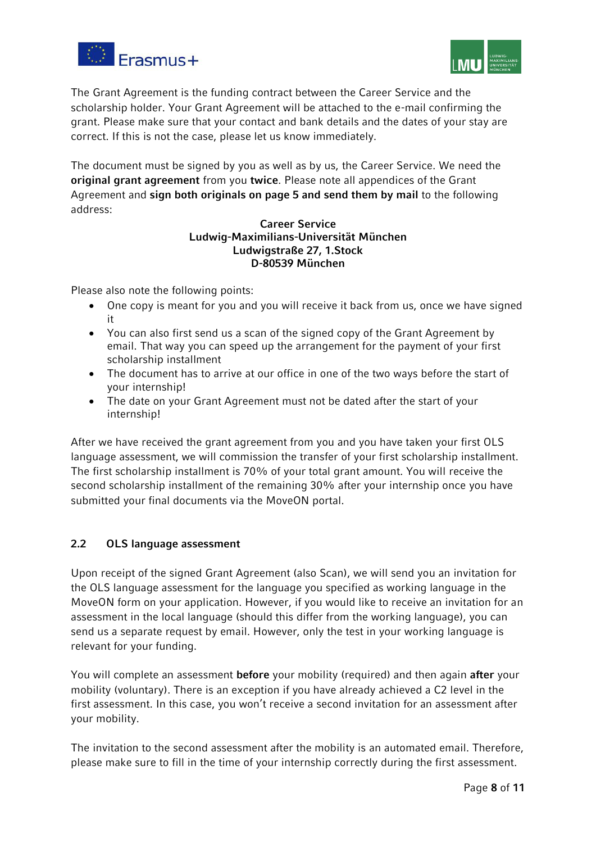



The Grant Agreement is the funding contract between the Career Service and the scholarship holder. Your Grant Agreement will be attached to the e-mail confirming the grant. Please make sure that your contact and bank details and the dates of your stay are correct. If this is not the case, please let us know immediately.

<span id="page-7-1"></span>The document must be signed by you as well as by us, the Career Service. We need the **original grant agreement** from you **twice**. Please note all appendices of the Grant Agreement and **sign both originals on page 5 and send them by mail** to the following address:

#### **Career Service Ludwig-Maximilians-Universität München Ludwigstraße 27, 1.Stock D-80539 München**

Please also note the following points:

- One copy is meant for you and you will receive it back from us, once we have signed it
- You can also first send us a scan of the signed copy of the Grant Agreement by email. That way you can speed up the arrangement for the payment of your first scholarship installment
- The document has to arrive at our office in one of the two ways before the start of your internship!
- The date on your Grant Agreement must not be dated after the start of your internship!

After we have received the grant agreement from you and you have taken your first OLS language assessment, we will commission the transfer of your first scholarship installment. The first scholarship installment is 70% of your total grant amount. You will receive the second scholarship installment of the remaining 30% after your internship once you have submitted your final documents via the MoveON portal.

# <span id="page-7-0"></span>**2.2 OLS language assessment**

Upon receipt of the signed Grant Agreement (also Scan), we will send you an invitation for the OLS language assessment for the language you specified as working language in the MoveON form on your application. However, if you would like to receive an invitation for an assessment in the local language (should this differ from the working language), you can send us a separate request by email. However, only the test in your working language is relevant for your funding.

You will complete an assessment **before** your mobility (required) and then again **after** your mobility (voluntary). There is an exception if you have already achieved a C2 level in the first assessment. In this case, you won't receive a second invitation for an assessment after your mobility.

The invitation to the second assessment after the mobility is an automated email. Therefore, please make sure to fill in the time of your internship correctly during the first assessment.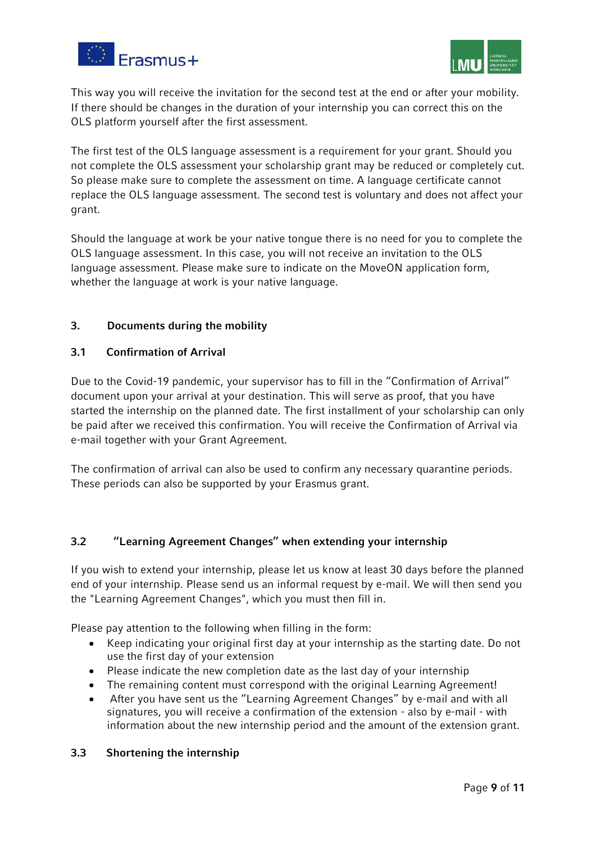



This way you will receive the invitation for the second test at the end or after your mobility. If there should be changes in the duration of your internship you can correct this on the OLS platform yourself after the first assessment.

The first test of the OLS language assessment is a requirement for your grant. Should you not complete the OLS assessment your scholarship grant may be reduced or completely cut. So please make sure to complete the assessment on time. A language certificate cannot replace the OLS language assessment. The second test is voluntary and does not affect your grant.

Should the language at work be your native tongue there is no need for you to complete the OLS language assessment. In this case, you will not receive an invitation to the OLS language assessment. Please make sure to indicate on the MoveON application form, whether the language at work is your native language.

# <span id="page-8-0"></span>**3. Documents during the mobility**

# <span id="page-8-1"></span>**3.1 Confirmation of Arrival**

Due to the Covid-19 pandemic, your supervisor has to fill in the "Confirmation of Arrival" document upon your arrival at your destination. This will serve as proof, that you have started the internship on the planned date. The first installment of your scholarship can only be paid after we received this confirmation. You will receive the Confirmation of Arrival via e-mail together with your Grant Agreement.

<span id="page-8-2"></span>The confirmation of arrival can also be used to confirm any necessary quarantine periods. These periods can also be supported by your Erasmus grant.

# **3.2 "Learning Agreement Changes" when extending your internship**

If you wish to extend your internship, please let us know at least 30 days before the planned end of your internship. Please send us an informal request by e-mail. We will then send you the "Learning Agreement Changes", which you must then fill in.

Please pay attention to the following when filling in the form:

- Keep indicating your original first day at your internship as the starting date. Do not use the first day of your extension
- Please indicate the new completion date as the last day of your internship
- The remaining content must correspond with the original Learning Agreement!
- After you have sent us the "Learning Agreement Changes" by e-mail and with all signatures, you will receive a confirmation of the extension - also by e-mail - with information about the new internship period and the amount of the extension grant.

# <span id="page-8-3"></span>**3.3 Shortening the internship**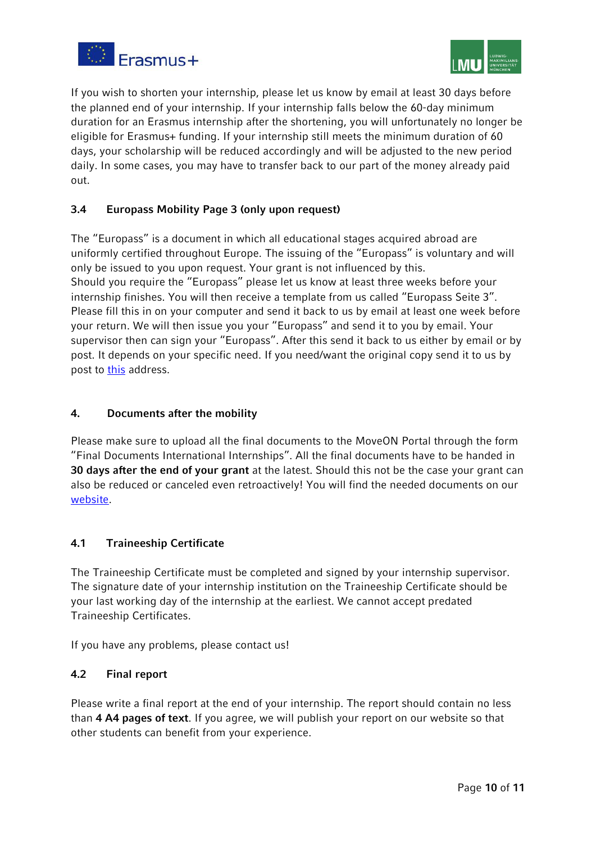



If you wish to shorten your internship, please let us know by email at least 30 days before the planned end of your internship. If your internship falls below the 60-day minimum duration for an Erasmus internship after the shortening, you will unfortunately no longer be eligible for Erasmus+ funding. If your internship still meets the minimum duration of 60 days, your scholarship will be reduced accordingly and will be adjusted to the new period daily. In some cases, you may have to transfer back to our part of the money already paid out.

# <span id="page-9-0"></span>**3.4 Europass Mobility Page 3 (only upon request)**

The "Europass" is a document in which all educational stages acquired abroad are uniformly certified throughout Europe. The issuing of the "Europass" is voluntary and will only be issued to you upon request. Your grant is not influenced by this. Should you require the "Europass" please let us know at least three weeks before your internship finishes. You will then receive a template from us called "Europass Seite 3". Please fill this in on your computer and send it back to us by email at least one week before your return. We will then issue you your "Europass" and send it to you by email. Your supervisor then can sign your "Europass". After this send it back to us either by email or by post. It depends on your specific need. If you need/want the original copy send it to us by post to [this](#page-7-1) address.

# <span id="page-9-1"></span>**4. Documents after the mobility**

Please make sure to upload all the final documents to the MoveON Portal through the form "Final Documents International Internships". All the final documents have to be handed in **30 days after the end of your grant** at the latest. Should this not be the case your grant can also be reduced or canceled even retroactively! You will find the needed documents on our [website.](https://www.lmu.de/en/workspace-for-students/gain-experience-abroad/internships-abroad/scholarships/erasmus-traineeship-programme/index.html)

# <span id="page-9-2"></span>**4.1 Traineeship Certificate**

The Traineeship Certificate must be completed and signed by your internship supervisor. The signature date of your internship institution on the Traineeship Certificate should be your last working day of the internship at the earliest. We cannot accept predated Traineeship Certificates.

If you have any problems, please contact us!

# <span id="page-9-3"></span>**4.2 Final report**

Please write a final report at the end of your internship. The report should contain no less than **4 A4 pages of text**. If you agree, we will publish your report on our website so that other students can benefit from your experience.